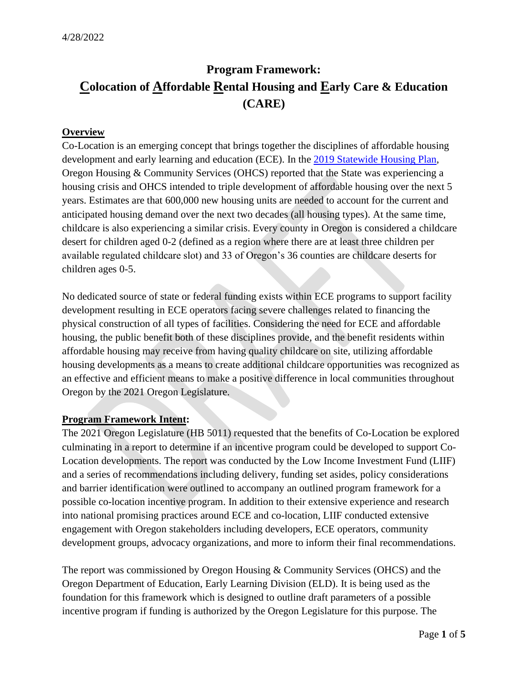# **Program Framework: Colocation of Affordable Rental Housing and Early Care & Education (CARE)**

## **Overview**

Co-Location is an emerging concept that brings together the disciplines of affordable housing development and early learning and education (ECE). In the [2019 Statewide Housing Plan,](https://www.oregon.gov/ohcs/pages/oregon-state-wide-housing-plan.aspx) Oregon Housing & Community Services (OHCS) reported that the State was experiencing a housing crisis and OHCS intended to triple development of affordable housing over the next 5 years. Estimates are that 600,000 new housing units are needed to account for the current and anticipated housing demand over the next two decades (all housing types). At the same time, childcare is also experiencing a similar crisis. Every county in Oregon is considered a childcare desert for children aged 0-2 (defined as a region where there are at least three children per available regulated childcare slot) and 33 of Oregon's 36 counties are childcare deserts for children ages 0-5.

No dedicated source of state or federal funding exists within ECE programs to support facility development resulting in ECE operators facing severe challenges related to financing the physical construction of all types of facilities. Considering the need for ECE and affordable housing, the public benefit both of these disciplines provide, and the benefit residents within affordable housing may receive from having quality childcare on site, utilizing affordable housing developments as a means to create additional childcare opportunities was recognized as an effective and efficient means to make a positive difference in local communities throughout Oregon by the 2021 Oregon Legislature.

## **Program Framework Intent:**

The 2021 Oregon Legislature (HB 5011) requested that the benefits of Co-Location be explored culminating in a report to determine if an incentive program could be developed to support Co-Location developments. The report was conducted by the Low Income Investment Fund (LIIF) and a series of recommendations including delivery, funding set asides, policy considerations and barrier identification were outlined to accompany an outlined program framework for a possible co-location incentive program. In addition to their extensive experience and research into national promising practices around ECE and co-location, LIIF conducted extensive engagement with Oregon stakeholders including developers, ECE operators, community development groups, advocacy organizations, and more to inform their final recommendations.

The report was commissioned by Oregon Housing & Community Services (OHCS) and the Oregon Department of Education, Early Learning Division (ELD). It is being used as the foundation for this framework which is designed to outline draft parameters of a possible incentive program if funding is authorized by the Oregon Legislature for this purpose. The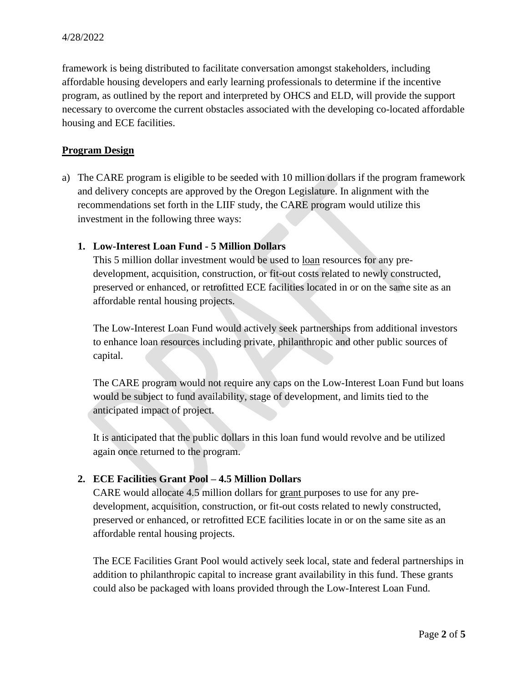framework is being distributed to facilitate conversation amongst stakeholders, including affordable housing developers and early learning professionals to determine if the incentive program, as outlined by the report and interpreted by OHCS and ELD, will provide the support necessary to overcome the current obstacles associated with the developing co-located affordable housing and ECE facilities.

## **Program Design**

a) The CARE program is eligible to be seeded with 10 million dollars if the program framework and delivery concepts are approved by the Oregon Legislature. In alignment with the recommendations set forth in the LIIF study, the CARE program would utilize this investment in the following three ways:

## **1. Low-Interest Loan Fund - 5 Million Dollars**

This 5 million dollar investment would be used to loan resources for any predevelopment, acquisition, construction, or fit-out costs related to newly constructed, preserved or enhanced, or retrofitted ECE facilities located in or on the same site as an affordable rental housing projects.

The Low-Interest Loan Fund would actively seek partnerships from additional investors to enhance loan resources including private, philanthropic and other public sources of capital.

The CARE program would not require any caps on the Low-Interest Loan Fund but loans would be subject to fund availability, stage of development, and limits tied to the anticipated impact of project.

It is anticipated that the public dollars in this loan fund would revolve and be utilized again once returned to the program.

# **2. ECE Facilities Grant Pool – 4.5 Million Dollars**

CARE would allocate 4.5 million dollars for grant purposes to use for any predevelopment, acquisition, construction, or fit-out costs related to newly constructed, preserved or enhanced, or retrofitted ECE facilities locate in or on the same site as an affordable rental housing projects.

The ECE Facilities Grant Pool would actively seek local, state and federal partnerships in addition to philanthropic capital to increase grant availability in this fund. These grants could also be packaged with loans provided through the Low-Interest Loan Fund.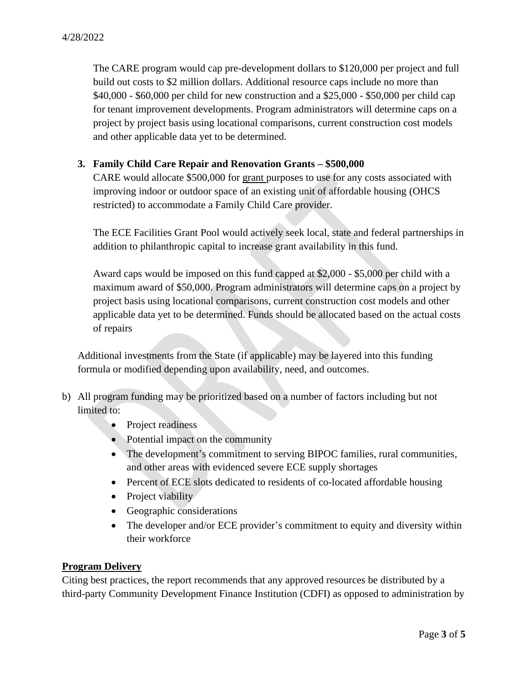The CARE program would cap pre-development dollars to \$120,000 per project and full build out costs to \$2 million dollars. Additional resource caps include no more than \$40,000 - \$60,000 per child for new construction and a \$25,000 - \$50,000 per child cap for tenant improvement developments. Program administrators will determine caps on a project by project basis using locational comparisons, current construction cost models and other applicable data yet to be determined.

#### **3. Family Child Care Repair and Renovation Grants – \$500,000**

CARE would allocate \$500,000 for grant purposes to use for any costs associated with improving indoor or outdoor space of an existing unit of affordable housing (OHCS restricted) to accommodate a Family Child Care provider.

The ECE Facilities Grant Pool would actively seek local, state and federal partnerships in addition to philanthropic capital to increase grant availability in this fund.

Award caps would be imposed on this fund capped at \$2,000 - \$5,000 per child with a maximum award of \$50,000. Program administrators will determine caps on a project by project basis using locational comparisons, current construction cost models and other applicable data yet to be determined. Funds should be allocated based on the actual costs of repairs

Additional investments from the State (if applicable) may be layered into this funding formula or modified depending upon availability, need, and outcomes.

- b) All program funding may be prioritized based on a number of factors including but not limited to:
	- Project readiness
	- Potential impact on the community
	- The development's commitment to serving BIPOC families, rural communities, and other areas with evidenced severe ECE supply shortages
	- Percent of ECE slots dedicated to residents of co-located affordable housing
	- Project viability
	- Geographic considerations
	- The developer and/or ECE provider's commitment to equity and diversity within their workforce

## **Program Delivery**

Citing best practices, the report recommends that any approved resources be distributed by a third-party Community Development Finance Institution (CDFI) as opposed to administration by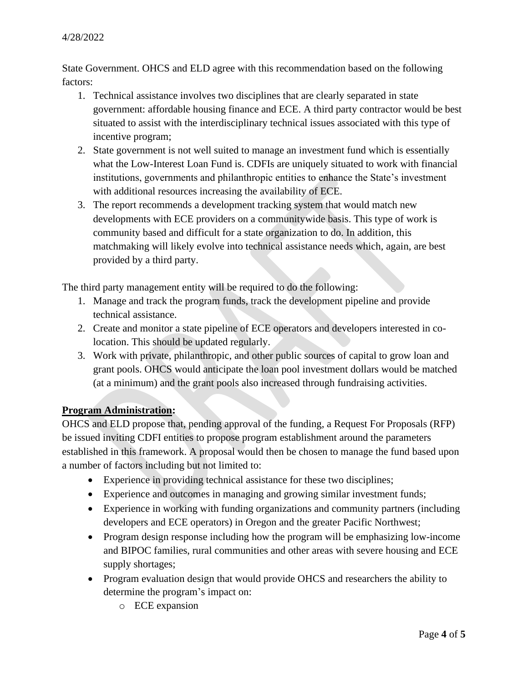State Government. OHCS and ELD agree with this recommendation based on the following factors:

- 1. Technical assistance involves two disciplines that are clearly separated in state government: affordable housing finance and ECE. A third party contractor would be best situated to assist with the interdisciplinary technical issues associated with this type of incentive program;
- 2. State government is not well suited to manage an investment fund which is essentially what the Low-Interest Loan Fund is. CDFIs are uniquely situated to work with financial institutions, governments and philanthropic entities to enhance the State's investment with additional resources increasing the availability of ECE.
- 3. The report recommends a development tracking system that would match new developments with ECE providers on a communitywide basis. This type of work is community based and difficult for a state organization to do. In addition, this matchmaking will likely evolve into technical assistance needs which, again, are best provided by a third party.

The third party management entity will be required to do the following:

- 1. Manage and track the program funds, track the development pipeline and provide technical assistance.
- 2. Create and monitor a state pipeline of ECE operators and developers interested in colocation. This should be updated regularly.
- 3. Work with private, philanthropic, and other public sources of capital to grow loan and grant pools. OHCS would anticipate the loan pool investment dollars would be matched (at a minimum) and the grant pools also increased through fundraising activities.

# **Program Administration:**

OHCS and ELD propose that, pending approval of the funding, a Request For Proposals (RFP) be issued inviting CDFI entities to propose program establishment around the parameters established in this framework. A proposal would then be chosen to manage the fund based upon a number of factors including but not limited to:

- Experience in providing technical assistance for these two disciplines;
- Experience and outcomes in managing and growing similar investment funds;
- Experience in working with funding organizations and community partners (including developers and ECE operators) in Oregon and the greater Pacific Northwest;
- Program design response including how the program will be emphasizing low-income and BIPOC families, rural communities and other areas with severe housing and ECE supply shortages;
- Program evaluation design that would provide OHCS and researchers the ability to determine the program's impact on:
	- o ECE expansion